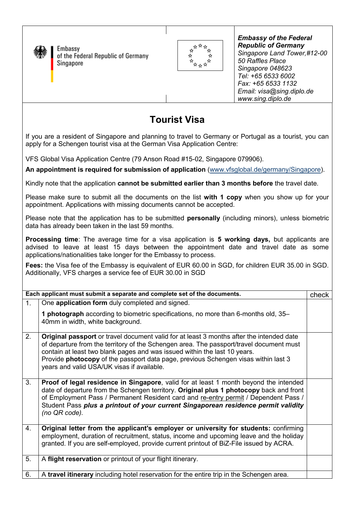

Embassy of the Federal Republic of Germany Singapore



*Embassy of the Federal Republic of Germany Singapore Land Tower,#12-00 50 Raffles Place Singapore 048623 Tel: +65 6533 6002 Fax: +65 6533 1132 Email: visa@sing.diplo.de www.sing.diplo.de*

## **Tourist Visa**

If you are a resident of Singapore and planning to travel to Germany or Portugal as a tourist, you can apply for a Schengen tourist visa at the German Visa Application Centre:

VFS Global Visa Application Centre (79 Anson Road #15-02, Singapore 079906).

**An appointment is required for submission of application** (www.vfsglobal.de/germany/Singapore).

Kindly note that the application **cannot be submitted earlier than 3 months before** the travel date.

Please make sure to submit all the documents on the list **with 1 copy** when you show up for your appointment. Applications with missing documents cannot be accepted.

Please note that the application has to be submitted **personally** (including minors), unless biometric data has already been taken in the last 59 months.

**Processing time**: The average time for a visa application is **5 working days,** but applicants are advised to leave at least 15 days between the appointment date and travel date as some applications/nationalities take longer for the Embassy to process.

**Fees:** the Visa fee of the Embassy is equivalent of EUR 60.00 in SGD, for children EUR 35.00 in SGD. Additionally, VFS charges a service fee of EUR 30.00 in SGD

| Each applicant must submit a separate and complete set of the documents.<br>check |                                                                                                                                                                                                                                                                                                                                                                                                             |  |
|-----------------------------------------------------------------------------------|-------------------------------------------------------------------------------------------------------------------------------------------------------------------------------------------------------------------------------------------------------------------------------------------------------------------------------------------------------------------------------------------------------------|--|
| 1 <sub>1</sub>                                                                    | One application form duly completed and signed.                                                                                                                                                                                                                                                                                                                                                             |  |
|                                                                                   | 1 photograph according to biometric specifications, no more than 6-months old, 35–<br>40mm in width, white background.                                                                                                                                                                                                                                                                                      |  |
| 2.                                                                                | <b>Original passport</b> or travel document valid for at least 3 months after the intended date<br>of departure from the territory of the Schengen area. The passport/travel document must<br>contain at least two blank pages and was issued within the last 10 years.<br>Provide photocopy of the passport data page, previous Schengen visas within last 3<br>years and valid USA/UK visas if available. |  |
| 3.                                                                                | <b>Proof of legal residence in Singapore, valid for at least 1 month beyond the intended</b><br>date of departure from the Schengen territory. Original plus 1 photocopy back and front<br>of Employment Pass / Permanent Resident card and re-entry permit / Dependent Pass /<br>Student Pass plus a printout of your current Singaporean residence permit validity<br>$(no$ QR code).                     |  |
| 4.                                                                                | Original letter from the applicant's employer or university for students: confirming<br>employment, duration of recruitment, status, income and upcoming leave and the holiday<br>granted. If you are self-employed, provide current printout of BiZ-File issued by ACRA.                                                                                                                                   |  |
| 5.                                                                                | A flight reservation or printout of your flight itinerary.                                                                                                                                                                                                                                                                                                                                                  |  |
| 6.                                                                                | A travel itinerary including hotel reservation for the entire trip in the Schengen area.                                                                                                                                                                                                                                                                                                                    |  |